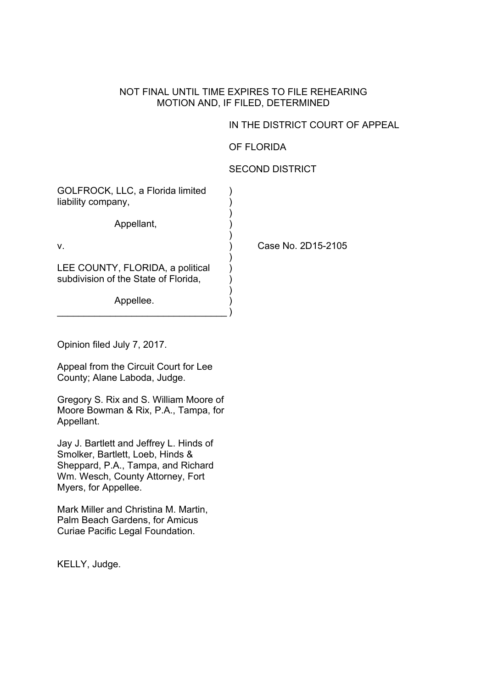#### NOT FINAL UNTIL TIME EXPIRES TO FILE REHEARING MOTION AND, IF FILED, DETERMINED

# IN THE DISTRICT COURT OF APPEAL

## OF FLORIDA

## SECOND DISTRICT

| GOLFROCK, LLC, a Florida limited<br>liability company,                   |                    |
|--------------------------------------------------------------------------|--------------------|
| Appellant,                                                               |                    |
| V.                                                                       | Case No. 2D15-2105 |
| LEE COUNTY, FLORIDA, a political<br>subdivision of the State of Florida, |                    |
| Appellee.                                                                |                    |

Opinion filed July 7, 2017.

Appeal from the Circuit Court for Lee County; Alane Laboda, Judge.

 $\qquad \qquad \Box$ 

Gregory S. Rix and S. William Moore of Moore Bowman & Rix, P.A., Tampa, for Appellant.

Jay J. Bartlett and Jeffrey L. Hinds of Smolker, Bartlett, Loeb, Hinds & Sheppard, P.A., Tampa, and Richard Wm. Wesch, County Attorney, Fort Myers, for Appellee.

Mark Miller and Christina M. Martin, Palm Beach Gardens, for Amicus Curiae Pacific Legal Foundation.

KELLY, Judge.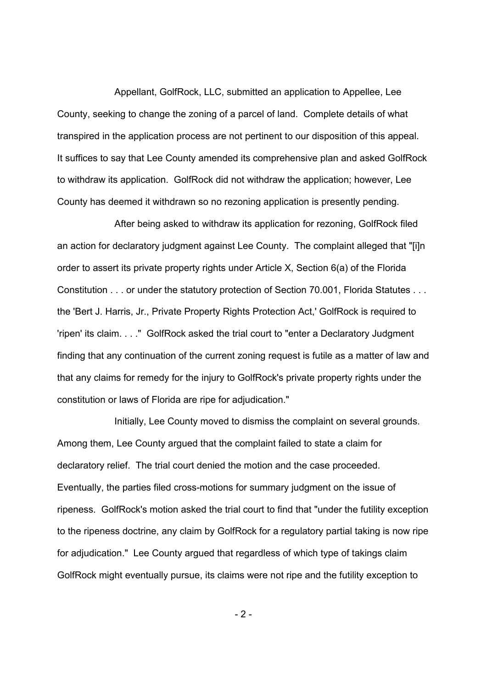Appellant, GolfRock, LLC, submitted an application to Appellee, Lee County, seeking to change the zoning of a parcel of land. Complete details of what transpired in the application process are not pertinent to our disposition of this appeal. It suffices to say that Lee County amended its comprehensive plan and asked GolfRock to withdraw its application. GolfRock did not withdraw the application; however, Lee County has deemed it withdrawn so no rezoning application is presently pending.

After being asked to withdraw its application for rezoning, GolfRock filed an action for declaratory judgment against Lee County. The complaint alleged that "[i]n order to assert its private property rights under Article X, Section 6(a) of the Florida Constitution . . . or under the statutory protection of Section 70.001, Florida Statutes . . . the 'Bert J. Harris, Jr., Private Property Rights Protection Act,' GolfRock is required to 'ripen' its claim. . . ." GolfRock asked the trial court to "enter a Declaratory Judgment finding that any continuation of the current zoning request is futile as a matter of law and that any claims for remedy for the injury to GolfRock's private property rights under the constitution or laws of Florida are ripe for adjudication."

Initially, Lee County moved to dismiss the complaint on several grounds. Among them, Lee County argued that the complaint failed to state a claim for declaratory relief. The trial court denied the motion and the case proceeded. Eventually, the parties filed cross-motions for summary judgment on the issue of ripeness. GolfRock's motion asked the trial court to find that "under the futility exception to the ripeness doctrine, any claim by GolfRock for a regulatory partial taking is now ripe for adjudication." Lee County argued that regardless of which type of takings claim GolfRock might eventually pursue, its claims were not ripe and the futility exception to

- 2 -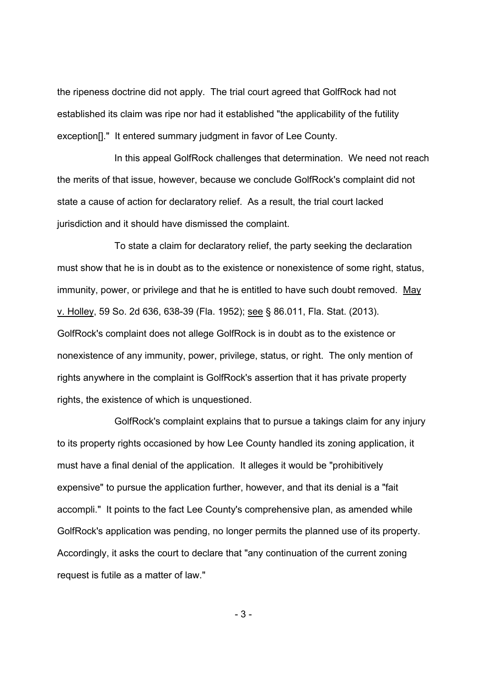the ripeness doctrine did not apply. The trial court agreed that GolfRock had not established its claim was ripe nor had it established "the applicability of the futility exception[]." It entered summary judgment in favor of Lee County.

In this appeal GolfRock challenges that determination. We need not reach the merits of that issue, however, because we conclude GolfRock's complaint did not state a cause of action for declaratory relief. As a result, the trial court lacked jurisdiction and it should have dismissed the complaint.

To state a claim for declaratory relief, the party seeking the declaration must show that he is in doubt as to the existence or nonexistence of some right, status, immunity, power, or privilege and that he is entitled to have such doubt removed. May v. Holley, 59 So. 2d 636, 638-39 (Fla. 1952); see § 86.011, Fla. Stat. (2013). GolfRock's complaint does not allege GolfRock is in doubt as to the existence or nonexistence of any immunity, power, privilege, status, or right. The only mention of rights anywhere in the complaint is GolfRock's assertion that it has private property rights, the existence of which is unquestioned.

GolfRock's complaint explains that to pursue a takings claim for any injury to its property rights occasioned by how Lee County handled its zoning application, it must have a final denial of the application. It alleges it would be "prohibitively expensive" to pursue the application further, however, and that its denial is a "fait accompli." It points to the fact Lee County's comprehensive plan, as amended while GolfRock's application was pending, no longer permits the planned use of its property. Accordingly, it asks the court to declare that "any continuation of the current zoning request is futile as a matter of law."

- 3 -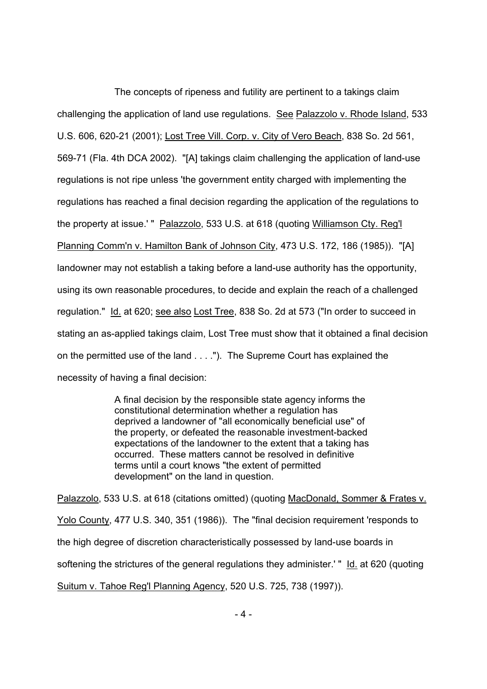The concepts of ripeness and futility are pertinent to a takings claim challenging the application of land use regulations. See Palazzolo v. Rhode Island, 533 U.S. 606, 620-21 (2001); Lost Tree Vill. Corp. v. City of Vero Beach, 838 So. 2d 561, 569-71 (Fla. 4th DCA 2002). "[A] takings claim challenging the application of land-use regulations is not ripe unless 'the government entity charged with implementing the regulations has reached a final decision regarding the application of the regulations to the property at issue.' " Palazzolo, 533 U.S. at 618 (quoting Williamson Cty. Reg'l Planning Comm'n v. Hamilton Bank of Johnson City, 473 U.S. 172, 186 (1985)). "[A] landowner may not establish a taking before a land-use authority has the opportunity, using its own reasonable procedures, to decide and explain the reach of a challenged regulation." Id. at 620; see also Lost Tree, 838 So. 2d at 573 ("In order to succeed in stating an as-applied takings claim, Lost Tree must show that it obtained a final decision on the permitted use of the land . . . ."). The Supreme Court has explained the necessity of having a final decision:

> A final decision by the responsible state agency informs the constitutional determination whether a regulation has deprived a landowner of "all economically beneficial use" of the property, or defeated the reasonable investment-backed expectations of the landowner to the extent that a taking has occurred. These matters cannot be resolved in definitive terms until a court knows "the extent of permitted development" on the land in question.

Palazzolo, 533 U.S. at 618 (citations omitted) (quoting MacDonald, Sommer & Frates v. Yolo County, 477 U.S. 340, 351 (1986)). The "final decision requirement 'responds to the high degree of discretion characteristically possessed by land-use boards in softening the strictures of the general regulations they administer.' " Id. at 620 (quoting Suitum v. Tahoe Reg'l Planning Agency, 520 U.S. 725, 738 (1997)).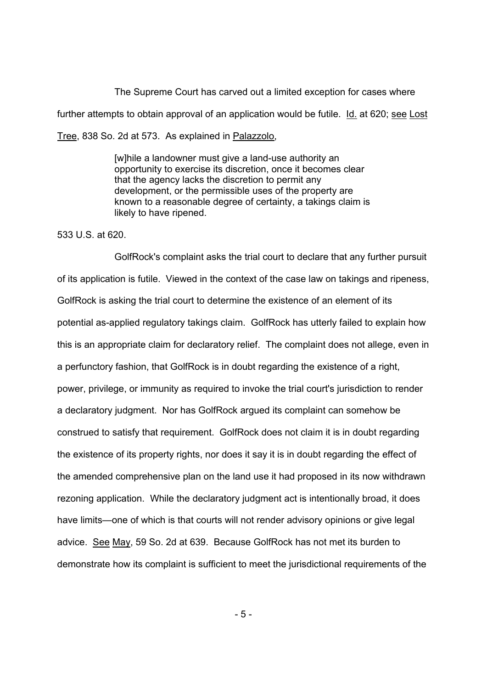The Supreme Court has carved out a limited exception for cases where further attempts to obtain approval of an application would be futile. Id. at 620; see Lost Tree, 838 So. 2d at 573. As explained in Palazzolo,

> [w]hile a landowner must give a land-use authority an opportunity to exercise its discretion, once it becomes clear that the agency lacks the discretion to permit any development, or the permissible uses of the property are known to a reasonable degree of certainty, a takings claim is likely to have ripened.

#### 533 U.S. at 620.

GolfRock's complaint asks the trial court to declare that any further pursuit of its application is futile. Viewed in the context of the case law on takings and ripeness, GolfRock is asking the trial court to determine the existence of an element of its potential as-applied regulatory takings claim. GolfRock has utterly failed to explain how this is an appropriate claim for declaratory relief. The complaint does not allege, even in a perfunctory fashion, that GolfRock is in doubt regarding the existence of a right, power, privilege, or immunity as required to invoke the trial court's jurisdiction to render a declaratory judgment. Nor has GolfRock argued its complaint can somehow be construed to satisfy that requirement. GolfRock does not claim it is in doubt regarding the existence of its property rights, nor does it say it is in doubt regarding the effect of the amended comprehensive plan on the land use it had proposed in its now withdrawn rezoning application. While the declaratory judgment act is intentionally broad, it does have limits—one of which is that courts will not render advisory opinions or give legal advice. See May, 59 So. 2d at 639. Because GolfRock has not met its burden to demonstrate how its complaint is sufficient to meet the jurisdictional requirements of the